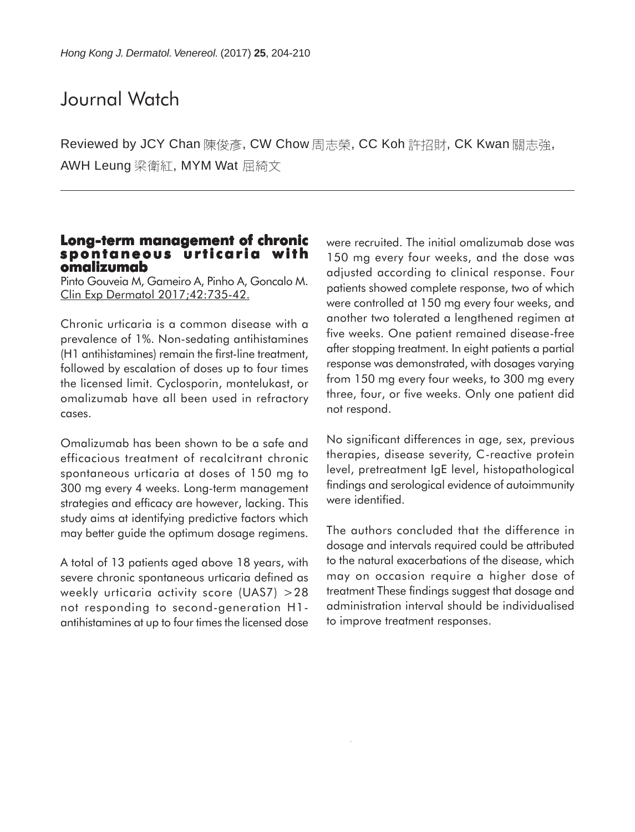### Journal Watch

Reviewed by JCY Chan 陳俊彥, CW Chow 周志榮, CC Koh 許招財, CK Kwan 關志強, AWH Leung 梁衛紅, MYM Wat 屈綺文

### **Long-term management of chronic spontaneous urticaria with omalizumab**

Pinto Gouveia M, Gameiro A, Pinho A, Goncalo M. Clin Exp Dermatol 2017;42:735-42.

Chronic urticaria is a common disease with a prevalence of 1%. Non-sedating antihistamines (H1 antihistamines) remain the first-line treatment, followed by escalation of doses up to four times the licensed limit. Cyclosporin, montelukast, or omalizumab have all been used in refractory cases.

Omalizumab has been shown to be a safe and efficacious treatment of recalcitrant chronic spontaneous urticaria at doses of 150 mg to 300 mg every 4 weeks. Long-term management strategies and efficacy are however, lacking. This study aims at identifying predictive factors which may better guide the optimum dosage regimens.

A total of 13 patients aged above 18 years, with severe chronic spontaneous urticaria defined as weekly urticaria activity score (UAS7) >28 not responding to second-generation H1 antihistamines at up to four times the licensed dose were recruited. The initial omalizumab dose was 150 mg every four weeks, and the dose was adjusted according to clinical response. Four patients showed complete response, two of which were controlled at 150 mg every four weeks, and another two tolerated a lengthened regimen at five weeks. One patient remained disease-free after stopping treatment. In eight patients a partial response was demonstrated, with dosages varying from 150 mg every four weeks, to 300 mg every three, four, or five weeks. Only one patient did not respond.

No significant differences in age, sex, previous therapies, disease severity, C-reactive protein level, pretreatment IgE level, histopathological findings and serological evidence of autoimmunity were identified.

The authors concluded that the difference in dosage and intervals required could be attributed to the natural exacerbations of the disease, which may on occasion require a higher dose of treatment These findings suggest that dosage and administration interval should be individualised to improve treatment responses.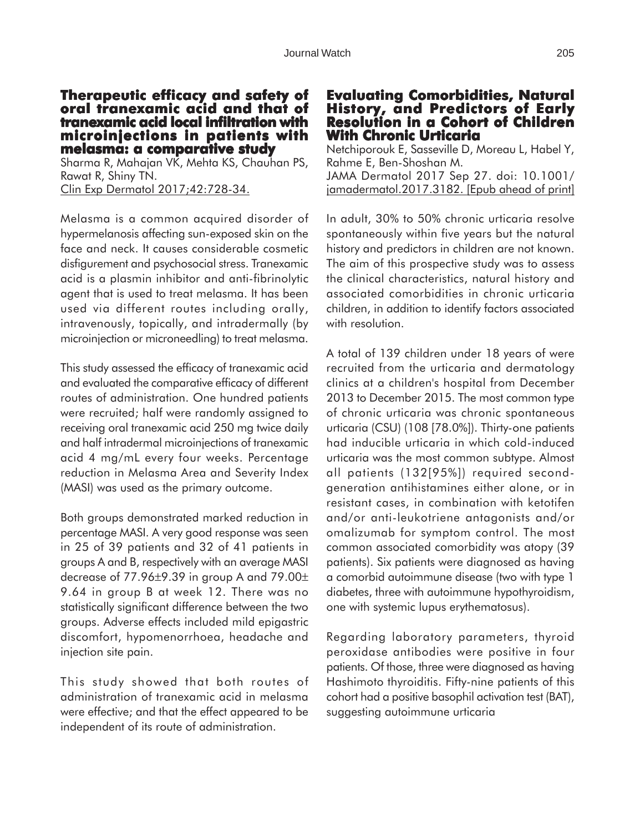#### **Therapeutic efficacy and safety of Therapeutic efficacy and safety oral tranexamic acid and that of xamic acid and that tranexamic acid local infiltration with microinjections in patients with melasma: a comparative study**

Sharma R, Mahajan VK, Mehta KS, Chauhan PS, Rawat R, Shiny TN. Clin Exp Dermatol 2017;42:728-34.

Melasma is a common acquired disorder of hypermelanosis affecting sun-exposed skin on the face and neck. It causes considerable cosmetic disfigurement and psychosocial stress. Tranexamic acid is a plasmin inhibitor and anti-fibrinolytic agent that is used to treat melasma. It has been used via different routes including orally, intravenously, topically, and intradermally (by microinjection or microneedling) to treat melasma.

This study assessed the efficacy of tranexamic acid and evaluated the comparative efficacy of different routes of administration. One hundred patients were recruited; half were randomly assigned to receiving oral tranexamic acid 250 mg twice daily and half intradermal microinjections of tranexamic acid 4 mg/mL every four weeks. Percentage reduction in Melasma Area and Severity Index (MASI) was used as the primary outcome.

Both groups demonstrated marked reduction in percentage MASI. A very good response was seen in 25 of 39 patients and 32 of 41 patients in groups A and B, respectively with an average MASI decrease of 77.96±9.39 in group A and 79.00± 9.64 in group B at week 12. There was no statistically significant difference between the two groups. Adverse effects included mild epigastric discomfort, hypomenorrhoea, headache and injection site pain.

This study showed that both routes of administration of tranexamic acid in melasma were effective; and that the effect appeared to be independent of its route of administration.

### **Evaluating Comorbidities, Natural Evaluating Comorbidities, Natural History, and Predictors of Early Resolution in a Cohort of Children With Chronic Urticaria**

Netchiporouk E, Sasseville D, Moreau L, Habel Y, Rahme E, Ben-Shoshan M. JAMA Dermatol 2017 Sep 27. doi: 10.1001/ jamadermatol.2017.3182. [Epub ahead of print]

In adult, 30% to 50% chronic urticaria resolve spontaneously within five years but the natural history and predictors in children are not known. The aim of this prospective study was to assess the clinical characteristics, natural history and associated comorbidities in chronic urticaria children, in addition to identify factors associated with resolution.

A total of 139 children under 18 years of were recruited from the urticaria and dermatology clinics at a children's hospital from December 2013 to December 2015. The most common type of chronic urticaria was chronic spontaneous urticaria (CSU) (108 [78.0%]). Thirty-one patients had inducible urticaria in which cold-induced urticaria was the most common subtype. Almost all patients (132[95%]) required secondgeneration antihistamines either alone, or in resistant cases, in combination with ketotifen and/or anti-leukotriene antagonists and/or omalizumab for symptom control. The most common associated comorbidity was atopy (39 patients). Six patients were diagnosed as having a comorbid autoimmune disease (two with type 1 diabetes, three with autoimmune hypothyroidism, one with systemic lupus erythematosus).

Regarding laboratory parameters, thyroid peroxidase antibodies were positive in four patients. Of those, three were diagnosed as having Hashimoto thyroiditis. Fifty-nine patients of this cohort had a positive basophil activation test (BAT), suggesting autoimmune urticaria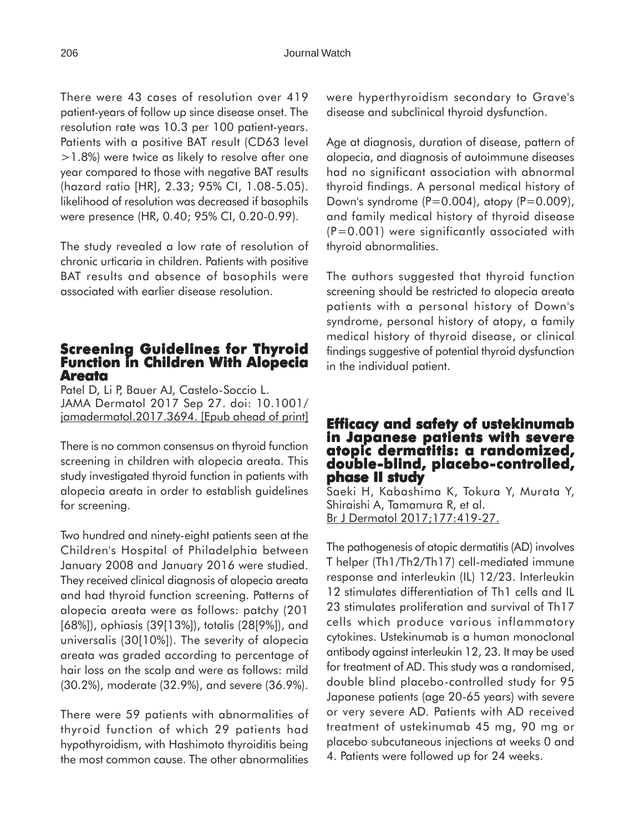There were 43 cases of resolution over 419 patient-years of follow up since disease onset. The resolution rate was 10.3 per 100 patient-years. Patients with a positive BAT result (CD63 level >1.8%) were twice as likely to resolve after one year compared to those with negative BAT results (hazard ratio [HR], 2.33; 95% CI, 1.08-5.05). likelihood of resolution was decreased if basophils were presence (HR, 0.40; 95% CI, 0.20-0.99).

The study revealed a low rate of resolution of chronic urticaria in children. Patients with positive BAT results and absence of basophils were associated with earlier disease resolution.

### **Screening Guidelines for Thyroid Function in Children With Alopecia Areata**

Patel D, Li P, Bauer AJ, Castelo-Soccio L. JAMA Dermatol 2017 Sep 27. doi: 10.1001/ jamadermatol.2017.3694. [Epub ahead of print]

There is no common consensus on thyroid function screening in children with alopecia areata. This study investigated thyroid function in patients with alopecia areata in order to establish guidelines for screening.

Two hundred and ninety-eight patients seen at the Children's Hospital of Philadelphia between January 2008 and January 2016 were studied. They received clinical diagnosis of alopecia areata and had thyroid function screening. Patterns of alopecia areata were as follows: patchy (201 [68%]), ophiasis (39[13%]), totalis (28[9%]), and universalis (30[10%]). The severity of alopecia areata was graded according to percentage of hair loss on the scalp and were as follows: mild (30.2%), moderate (32.9%), and severe (36.9%).

There were 59 patients with abnormalities of thyroid function of which 29 patients had hypothyroidism, with Hashimoto thyroiditis being the most common cause. The other abnormalities were hyperthyroidism secondary to Grave's disease and subclinical thyroid dysfunction.

Age at diagnosis, duration of disease, pattern of alopecia, and diagnosis of autoimmune diseases had no significant association with abnormal thyroid findings. A personal medical history of Down's syndrome  $(P=0.004)$ , atopy  $(P=0.009)$ , and family medical history of thyroid disease  $(P=0.001)$  were significantly associated with thyroid abnormalities.

The authors suggested that thyroid function screening should be restricted to alopecia areata patients with a personal history of Down's syndrome, personal history of atopy, a family medical history of thyroid disease, or clinical findings suggestive of potential thyroid dysfunction in the individual patient.

### **Efficacy and safety of ustekinumab in Japanese patients with severe atopic dermatitis: a randomized, dermatitis: randomized, double-blind, placebo-controlled, controlled, phase II study**

Saeki H, Kabashima K, Tokura Y, Murata Y, Shiraishi A, Tamamura R, et al. Br J Dermatol 2017;177:419-27.

The pathogenesis of atopic dermatitis (AD) involves T helper (Th1/Th2/Th17) cell-mediated immune response and interleukin (IL) 12/23. Interleukin 12 stimulates differentiation of Th1 cells and IL 23 stimulates proliferation and survival of Th17 cells which produce various inflammatory cytokines. Ustekinumab is a human monoclonal antibody against interleukin 12, 23. It may be used for treatment of AD. This study was a randomised, double blind placebo-controlled study for 95 Japanese patients (age 20-65 years) with severe or very severe AD. Patients with AD received treatment of ustekinumab 45 mg, 90 mg or placebo subcutaneous injections at weeks 0 and 4. Patients were followed up for 24 weeks.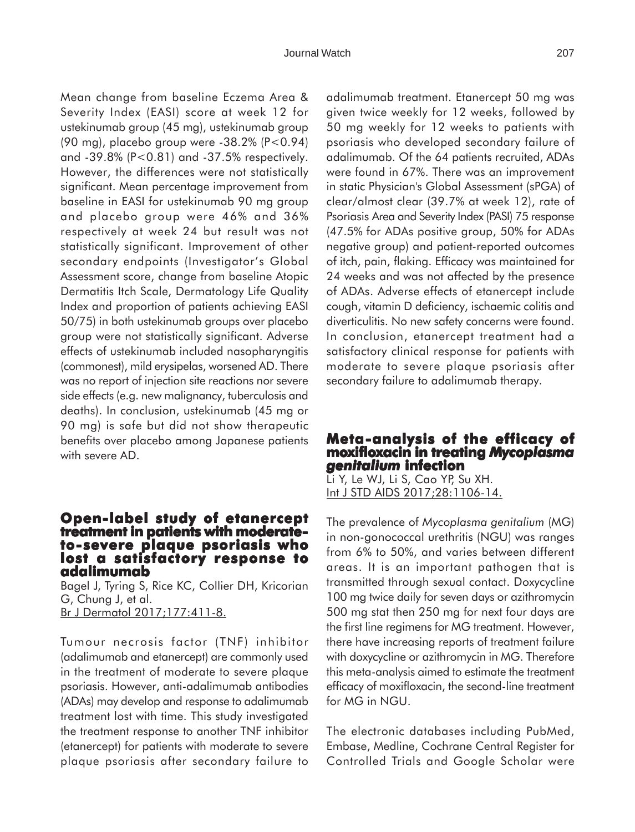Mean change from baseline Eczema Area & Severity Index (EASI) score at week 12 for ustekinumab group (45 mg), ustekinumab group (90 mg), placebo group were -38.2% (P<0.94) and -39.8% (P<0.81) and -37.5% respectively. However, the differences were not statistically significant. Mean percentage improvement from baseline in EASI for ustekinumab 90 mg group and placebo group were 46% and 36% respectively at week 24 but result was not statistically significant. Improvement of other secondary endpoints (Investigator's Global Assessment score, change from baseline Atopic Dermatitis Itch Scale, Dermatology Life Quality Index and proportion of patients achieving EASI 50/75) in both ustekinumab groups over placebo group were not statistically significant. Adverse effects of ustekinumab included nasopharyngitis (commonest), mild erysipelas, worsened AD. There was no report of injection site reactions nor severe side effects (e.g. new malignancy, tuberculosis and deaths). In conclusion, ustekinumab (45 mg or 90 mg) is safe but did not show therapeutic benefits over placebo among Japanese patients with severe AD.

## **Open-label study of etanercept treatment in patients with moderatetreatment in patients with moderate- to-severe plaque psoriasis who lost a satisfactory response to adalimumab**

Bagel J, Tyring S, Rice KC, Collier DH, Kricorian G, Chung J, et al. Br J Dermatol 2017;177:411-8.

Tumour necrosis factor (TNF) inhibitor (adalimumab and etanercept) are commonly used in the treatment of moderate to severe plaque psoriasis. However, anti-adalimumab antibodies (ADAs) may develop and response to adalimumab treatment lost with time. This study investigated the treatment response to another TNF inhibitor (etanercept) for patients with moderate to severe plaque psoriasis after secondary failure to adalimumab treatment. Etanercept 50 mg was given twice weekly for 12 weeks, followed by 50 mg weekly for 12 weeks to patients with psoriasis who developed secondary failure of adalimumab. Of the 64 patients recruited, ADAs were found in 67%. There was an improvement in static Physician's Global Assessment (sPGA) of clear/almost clear (39.7% at week 12), rate of Psoriasis Area and Severity Index (PASI) 75 response (47.5% for ADAs positive group, 50% for ADAs negative group) and patient-reported outcomes of itch, pain, flaking. Efficacy was maintained for 24 weeks and was not affected by the presence of ADAs. Adverse effects of etanercept include cough, vitamin D deficiency, ischaemic colitis and diverticulitis. No new safety concerns were found. In conclusion, etanercept treatment had a satisfactory clinical response for patients with moderate to severe plaque psoriasis after secondary failure to adalimumab therapy.

### **Meta-analysis of the efficacy of -analysis of efficacy of moxifloxacin in treating xacin treating** *Mycoplasma genitalium* **infection**

Li Y, Le WJ, Li S, Cao YP, Su XH. Int J STD AIDS 2017;28:1106-14.

The prevalence of *Mycoplasma genitalium* (MG) in non-gonococcal urethritis (NGU) was ranges from 6% to 50%, and varies between different areas. It is an important pathogen that is transmitted through sexual contact. Doxycycline 100 mg twice daily for seven days or azithromycin 500 mg stat then 250 mg for next four days are the first line regimens for MG treatment. However, there have increasing reports of treatment failure with doxycycline or azithromycin in MG. Therefore this meta-analysis aimed to estimate the treatment efficacy of moxifloxacin, the second-line treatment for MG in NGU.

The electronic databases including PubMed, Embase, Medline, Cochrane Central Register for Controlled Trials and Google Scholar were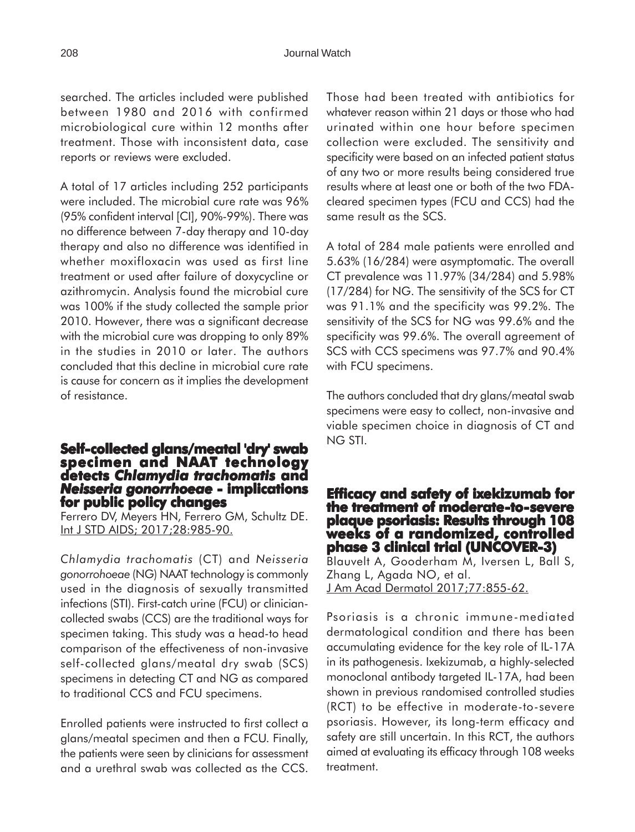searched. The articles included were published between 1980 and 2016 with confirmed microbiological cure within 12 months after treatment. Those with inconsistent data, case reports or reviews were excluded.

A total of 17 articles including 252 participants were included. The microbial cure rate was 96% (95% confident interval [CI], 90%-99%). There was no difference between 7-day therapy and 10-day therapy and also no difference was identified in whether moxifloxacin was used as first line treatment or used after failure of doxycycline or azithromycin. Analysis found the microbial cure was 100% if the study collected the sample prior 2010. However, there was a significant decrease with the microbial cure was dropping to only 89% in the studies in 2010 or later. The authors concluded that this decline in microbial cure rate is cause for concern as it implies the development of resistance.

# **Self-collected glans/meatal 'dry' swab specimen and NAAT technology detects** *Chlamydia trachomatis* **and** *Neisseria gonorrhoeae* **- implications for public policy changes**

Ferrero DV, Meyers HN, Ferrero GM, Schultz DE. Int J STD AIDS; 2017; 28: 985-90.

*Chlamydia trachomatis* (CT) and *Neisseria gonorrohoeae* (NG) NAAT technology is commonly used in the diagnosis of sexually transmitted infections (STI). First-catch urine (FCU) or cliniciancollected swabs (CCS) are the traditional ways for specimen taking. This study was a head-to head comparison of the effectiveness of non-invasive self-collected glans/meatal dry swab (SCS) specimens in detecting CT and NG as compared to traditional CCS and FCU specimens.

Enrolled patients were instructed to first collect a glans/meatal specimen and then a FCU. Finally, the patients were seen by clinicians for assessment and a urethral swab was collected as the CCS.

Those had been treated with antibiotics for whatever reason within 21 days or those who had urinated within one hour before specimen collection were excluded. The sensitivity and specificity were based on an infected patient status of any two or more results being considered true results where at least one or both of the two FDAcleared specimen types (FCU and CCS) had the same result as the SCS.

A total of 284 male patients were enrolled and 5.63% (16/284) were asymptomatic. The overall CT prevalence was 11.97% (34/284) and 5.98% (17/284) for NG. The sensitivity of the SCS for CT was 91.1% and the specificity was 99.2%. The sensitivity of the SCS for NG was 99.6% and the specificity was 99.6%. The overall agreement of SCS with CCS specimens was 97.7% and 90.4% with FCU specimens.

The authors concluded that dry glans/meatal swab specimens were easy to collect, non-invasive and viable specimen choice in diagnosis of CT and NG STI.

### **Efficacy and safety of ixekizumab for the treatment of moderate-to-severe plaque psoriasis: Results through 108 weeks of a randomized, controlled phase 3 clinical trial (UNCOVER-3)**

Blauvelt A, Gooderham M, Iversen L, Ball S, Zhang L, Agada NO, et al. J Am Acad Dermatol 2017;77:855-62.

Psoriasis is a chronic immune-mediated dermatological condition and there has been accumulating evidence for the key role of IL-17A in its pathogenesis. Ixekizumab, a highly-selected monoclonal antibody targeted IL-17A, had been shown in previous randomised controlled studies (RCT) to be effective in moderate-to-severe psoriasis. However, its long-term efficacy and safety are still uncertain. In this RCT, the authors aimed at evaluating its efficacy through 108 weeks treatment.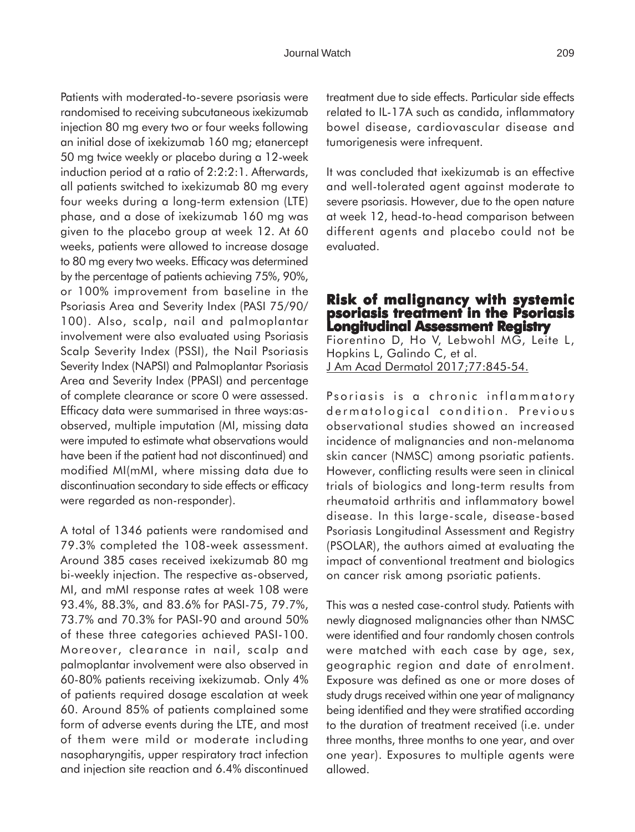Patients with moderated-to-severe psoriasis were randomised to receiving subcutaneous ixekizumab injection 80 mg every two or four weeks following an initial dose of ixekizumab 160 mg; etanercept 50 mg twice weekly or placebo during a 12-week induction period at a ratio of 2:2:2:1. Afterwards, all patients switched to ixekizumab 80 mg every four weeks during a long-term extension (LTE) phase, and a dose of ixekizumab 160 mg was given to the placebo group at week 12. At 60 weeks, patients were allowed to increase dosage to 80 mg every two weeks. Efficacy was determined by the percentage of patients achieving 75%, 90%, or 100% improvement from baseline in the Psoriasis Area and Severity Index (PASI 75/90/ 100). Also, scalp, nail and palmoplantar involvement were also evaluated using Psoriasis Scalp Severity Index (PSSI), the Nail Psoriasis Severity Index (NAPSI) and Palmoplantar Psoriasis Area and Severity Index (PPASI) and percentage of complete clearance or score 0 were assessed. Efficacy data were summarised in three ways:asobserved, multiple imputation (MI, missing data were imputed to estimate what observations would have been if the patient had not discontinued) and modified MI(mMI, where missing data due to discontinuation secondary to side effects or efficacy were regarded as non-responder).

A total of 1346 patients were randomised and 79.3% completed the 108-week assessment. Around 385 cases received ixekizumab 80 mg bi-weekly injection. The respective as-observed, MI, and mMI response rates at week 108 were 93.4%, 88.3%, and 83.6% for PASI-75, 79.7%, 73.7% and 70.3% for PASI-90 and around 50% of these three categories achieved PASI-100. Moreover, clearance in nail, scalp and palmoplantar involvement were also observed in 60-80% patients receiving ixekizumab. Only 4% of patients required dosage escalation at week 60. Around 85% of patients complained some form of adverse events during the LTE, and most of them were mild or moderate including nasopharyngitis, upper respiratory tract infection and injection site reaction and 6.4% discontinued treatment due to side effects. Particular side effects related to IL-17A such as candida, inflammatory bowel disease, cardiovascular disease and tumorigenesis were infrequent.

It was concluded that ixekizumab is an effective and well-tolerated agent against moderate to severe psoriasis. However, due to the open nature at week 12, head-to-head comparison between different agents and placebo could not be evaluated.

### **Risk of malignancy with systemic psoriasis treatment in the Psoriasis Longitudinal Assessment Registry**

Fiorentino D, Ho V, Lebwohl MG, Leite L, Hopkins L, Galindo C, et al. J Am Acad Dermatol 2017;77:845-54.

Psoriasis is a chronic inflammatory dermatological condition. Previous observational studies showed an increased incidence of malignancies and non-melanoma skin cancer (NMSC) among psoriatic patients. However, conflicting results were seen in clinical trials of biologics and long-term results from rheumatoid arthritis and inflammatory bowel disease. In this large-scale, disease-based Psoriasis Longitudinal Assessment and Registry (PSOLAR), the authors aimed at evaluating the impact of conventional treatment and biologics on cancer risk among psoriatic patients.

This was a nested case-control study. Patients with newly diagnosed malignancies other than NMSC were identified and four randomly chosen controls were matched with each case by age, sex, geographic region and date of enrolment. Exposure was defined as one or more doses of study drugs received within one year of malignancy being identified and they were stratified according to the duration of treatment received (i.e. under three months, three months to one year, and over one year). Exposures to multiple agents were allowed.